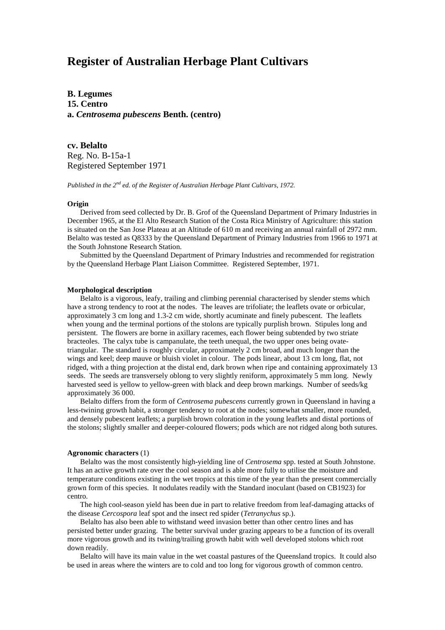# **Register of Australian Herbage Plant Cultivars**

**B. Legumes 15. Centro a.** *Centrosema pubescens* **Benth. (centro)**

**cv. Belalto** Reg. No. B-15a-1 Registered September 1971

*Published in the 2nd ed. of the Register of Australian Herbage Plant Cultivars, 1972.*

### **Origin**

Derived from seed collected by Dr. B. Grof of the Queensland Department of Primary Industries in December 1965, at the El Alto Research Station of the Costa Rica Ministry of Agriculture: this station is situated on the San Jose Plateau at an Altitude of 610 m and receiving an annual rainfall of 2972 mm. Belalto was tested as Q8333 by the Queensland Department of Primary Industries from 1966 to 1971 at the South Johnstone Research Station.

Submitted by the Queensland Department of Primary Industries and recommended for registration by the Queensland Herbage Plant Liaison Committee. Registered September, 1971.

## **Morphological description**

Belalto is a vigorous, leafy, trailing and climbing perennial characterised by slender stems which have a strong tendency to root at the nodes. The leaves are trifoliate; the leaflets ovate or orbicular, approximately 3 cm long and 1.3-2 cm wide, shortly acuminate and finely pubescent. The leaflets when young and the terminal portions of the stolons are typically purplish brown. Stipules long and persistent. The flowers are borne in axillary racemes, each flower being subtended by two striate bracteoles. The calyx tube is campanulate, the teeth unequal, the two upper ones being ovatetriangular. The standard is roughly circular, approximately 2 cm broad, and much longer than the wings and keel; deep mauve or bluish violet in colour. The pods linear, about 13 cm long, flat, not ridged, with a thing projection at the distal end, dark brown when ripe and containing approximately 13 seeds. The seeds are transversely oblong to very slightly reniform, approximately 5 mm long. Newly harvested seed is yellow to yellow-green with black and deep brown markings. Number of seeds/kg approximately 36 000.

Belalto differs from the form of *Centrosema pubescens* currently grown in Queensland in having a less-twining growth habit, a stronger tendency to root at the nodes; somewhat smaller, more rounded, and densely pubescent leaflets; a purplish brown coloration in the young leaflets and distal portions of the stolons; slightly smaller and deeper-coloured flowers; pods which are not ridged along both sutures.

### **Agronomic characters** (1)

Belalto was the most consistently high-yielding line of *Centrosema* spp. tested at South Johnstone. It has an active growth rate over the cool season and is able more fully to utilise the moisture and temperature conditions existing in the wet tropics at this time of the year than the present commercially grown form of this species. It nodulates readily with the Standard inoculant (based on CB1923) for centro.

The high cool-season yield has been due in part to relative freedom from leaf-damaging attacks of the disease *Cercospora* leaf spot and the insect red spider (*Tetranychus* sp.).

Belalto has also been able to withstand weed invasion better than other centro lines and has persisted better under grazing. The better survival under grazing appears to be a function of its overall more vigorous growth and its twining/trailing growth habit with well developed stolons which root down readily.

Belalto will have its main value in the wet coastal pastures of the Queensland tropics. It could also be used in areas where the winters are to cold and too long for vigorous growth of common centro.